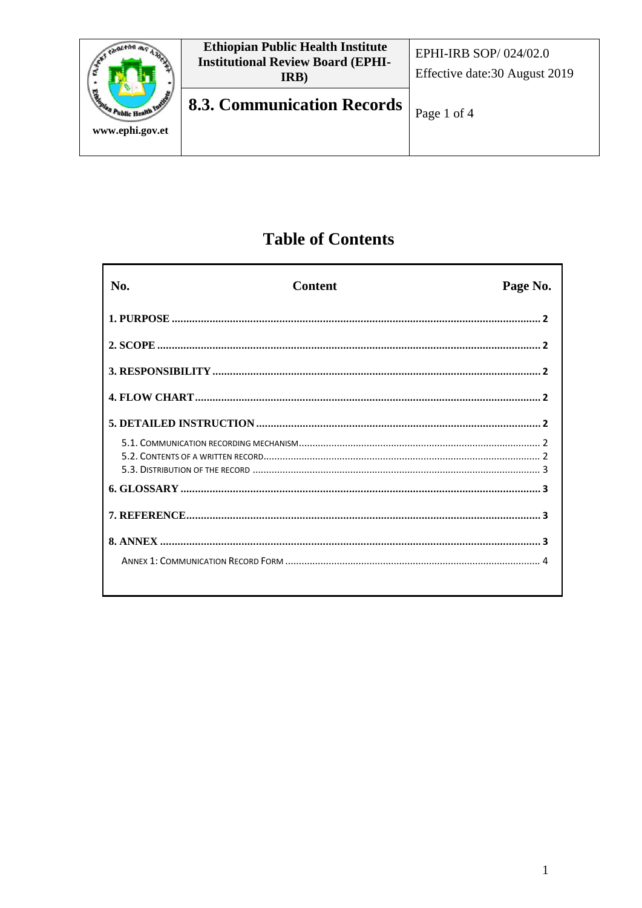

# **Table of Contents**

| No. | <b>Content</b> | Page No. |
|-----|----------------|----------|
|     |                |          |
|     |                |          |
|     |                |          |
|     |                |          |
|     |                |          |
|     |                |          |
|     |                |          |
|     |                |          |
|     |                |          |
|     |                |          |
|     |                |          |
|     |                |          |
|     |                |          |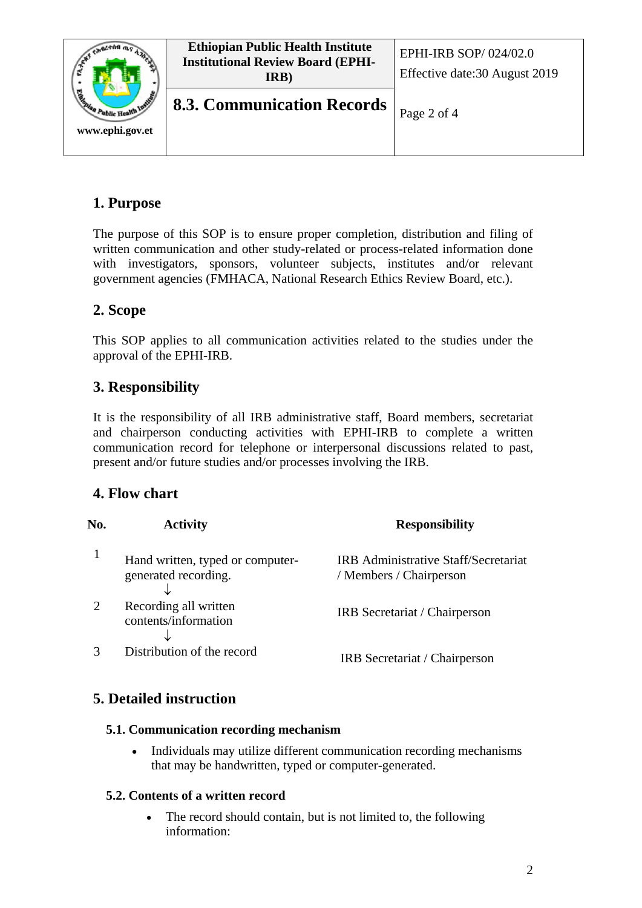

## **1. Purpose**

The purpose of this SOP is to ensure proper completion, distribution and filing of written communication and other study-related or process-related information done with investigators, sponsors, volunteer subjects, institutes and/or relevant government agencies (FMHACA, National Research Ethics Review Board, etc.).

## **2. Scope**

This SOP applies to all communication activities related to the studies under the approval of the EPHI-IRB.

## **3. Responsibility**

It is the responsibility of all IRB administrative staff, Board members, secretariat and chairperson conducting activities with EPHI-IRB to complete a written communication record for telephone or interpersonal discussions related to past, present and/or future studies and/or processes involving the IRB.

### **4. Flow chart**

| No. | <b>Activity</b>                                          | <b>Responsibility</b>                                                  |
|-----|----------------------------------------------------------|------------------------------------------------------------------------|
|     | Hand written, typed or computer-<br>generated recording. | <b>IRB</b> Administrative Staff/Secretariat<br>/ Members / Chairperson |
|     | Recording all written<br>contents/information            | IRB Secretariat / Chairperson                                          |
|     | Distribution of the record                               | IRB Secretariat / Chairperson                                          |

## **5. Detailed instruction**

#### **5.1. Communication recording mechanism**

• Individuals may utilize different communication recording mechanisms that may be handwritten, typed or computer-generated.

#### **5.2. Contents of a written record**

• The record should contain, but is not limited to, the following information: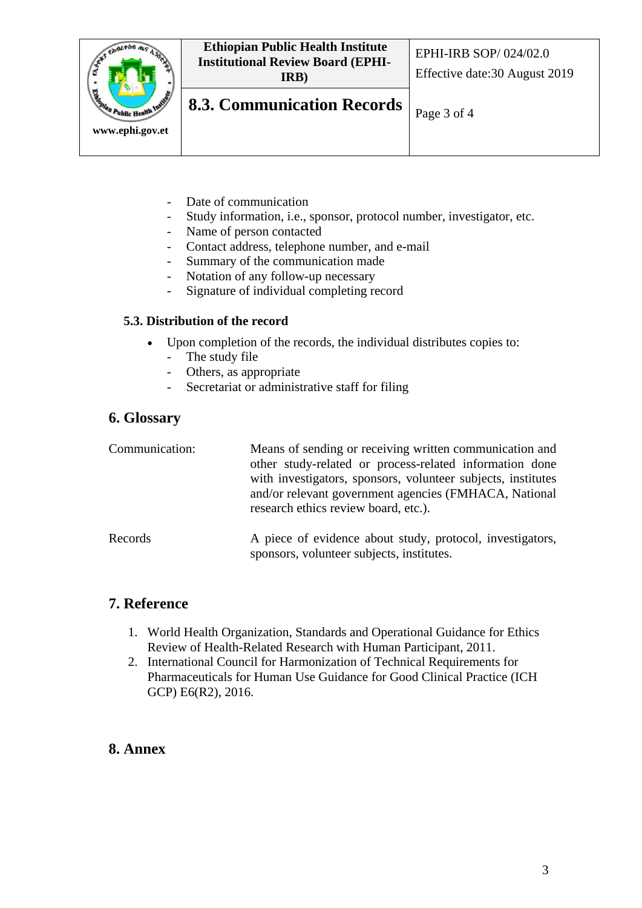

- Date of communication
- Study information, i.e., sponsor, protocol number, investigator, etc.
- Name of person contacted
- Contact address, telephone number, and e-mail
- Summary of the communication made
- Notation of any follow-up necessary
- Signature of individual completing record

#### **5.3. Distribution of the record**

- Upon completion of the records, the individual distributes copies to:
	- The study file
	- Others, as appropriate
	- Secretariat or administrative staff for filing

#### **6. Glossary**

| Communication: | Means of sending or receiving written communication and<br>other study-related or process-related information done<br>with investigators, sponsors, volunteer subjects, institutes<br>and/or relevant government agencies (FMHACA, National<br>research ethics review board, etc.). |
|----------------|-------------------------------------------------------------------------------------------------------------------------------------------------------------------------------------------------------------------------------------------------------------------------------------|
| Records        | A piece of evidence about study, protocol, investigators,                                                                                                                                                                                                                           |

sponsors, volunteer subjects, institutes.

## **7. Reference**

- 1. World Health Organization, Standards and Operational Guidance for Ethics Review of Health-Related Research with Human Participant, 2011.
- 2. International Council for Harmonization of Technical Requirements for Pharmaceuticals for Human Use Guidance for Good Clinical Practice (ICH GCP) E6(R2), 2016.

#### **8. Annex**